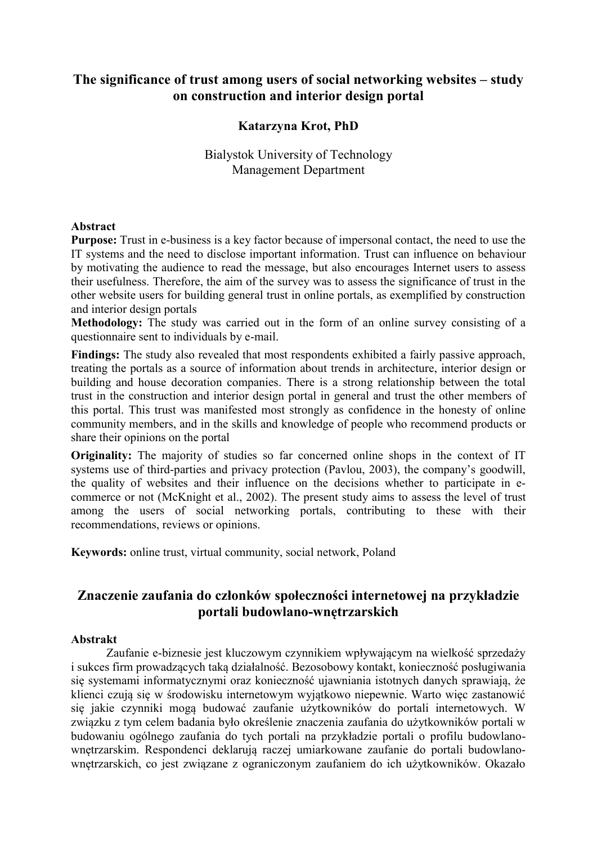## **The significance of trust among users of social networking websites – study on construction and interior design portal**

## **Katarzyna Krot, PhD**

## Bialystok University of Technology Management Department

#### **Abstract**

**Purpose:** Trust in e-business is a key factor because of impersonal contact, the need to use the IT systems and the need to disclose important information. Trust can influence on behaviour by motivating the audience to read the message, but also encourages Internet users to assess their usefulness. Therefore, the aim of the survey was to assess the significance of trust in the other website users for building general trust in online portals, as exemplified by construction and interior design portals

**Methodology:** The study was carried out in the form of an online survey consisting of a questionnaire sent to individuals by e-mail.

**Findings:** The study also revealed that most respondents exhibited a fairly passive approach, treating the portals as a source of information about trends in architecture, interior design or building and house decoration companies. There is a strong relationship between the total trust in the construction and interior design portal in general and trust the other members of this portal. This trust was manifested most strongly as confidence in the honesty of online community members, and in the skills and knowledge of people who recommend products or share their opinions on the portal

**Originality:** The majority of studies so far concerned online shops in the context of IT systems use of third-parties and privacy protection (Pavlou, 2003), the company's goodwill, the quality of websites and their influence on the decisions whether to participate in ecommerce or not (McKnight et al., 2002). The present study aims to assess the level of trust among the users of social networking portals, contributing to these with their recommendations, reviews or opinions.

**Keywords:** online trust, virtual community, social network, Poland

# **Znaczenie zaufania do członków społeczności internetowej na przykładzie portali budowlano-wnętrzarskich**

#### **Abstrakt**

Zaufanie e-biznesie jest kluczowym czynnikiem wpływającym na wielkość sprzedaży i sukces firm prowadzących taką działalność. Bezosobowy kontakt, konieczność posługiwania się systemami informatycznymi oraz konieczność ujawniania istotnych danych sprawiają, że klienci czują się w środowisku internetowym wyjątkowo niepewnie. Warto więc zastanowić się jakie czynniki mogą budować zaufanie użytkowników do portali internetowych. W związku z tym celem badania było określenie znaczenia zaufania do użytkowników portali w budowaniu ogólnego zaufania do tych portali na przykładzie portali o profilu budowlanownętrzarskim. Respondenci deklarują raczej umiarkowane zaufanie do portali budowlanownętrzarskich, co jest związane z ograniczonym zaufaniem do ich użytkowników. Okazało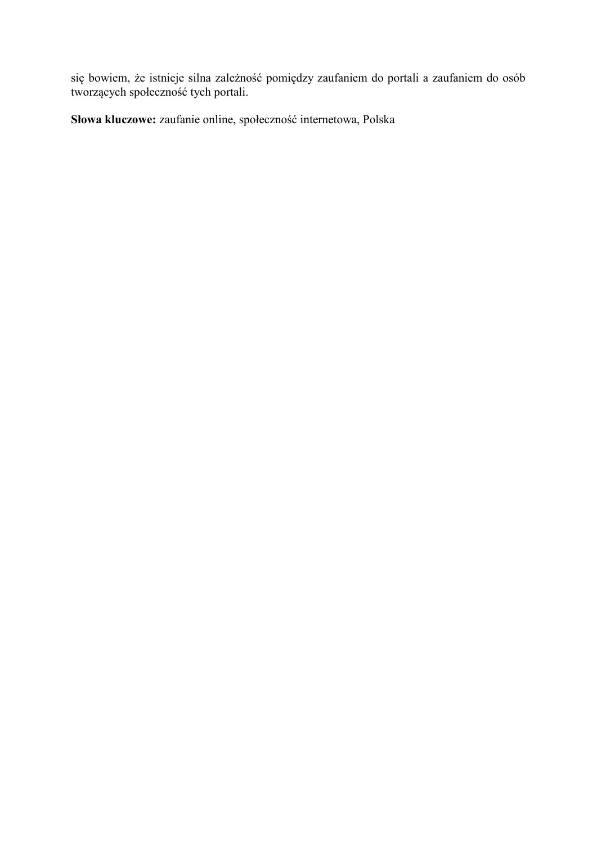się bowiem, że istnieje silna zależność pomiędzy zaufaniem do portali a zaufaniem do osób tworzących społeczność tych portali.

**Słowa kluczowe:** zaufanie online, społeczność internetowa, Polska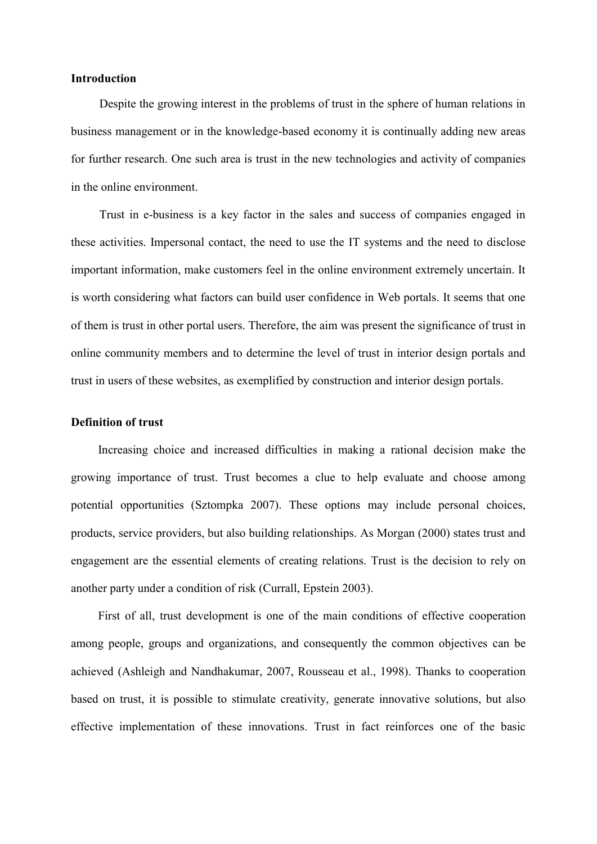### **Introduction**

Despite the growing interest in the problems of trust in the sphere of human relations in business management or in the knowledge-based economy it is continually adding new areas for further research. One such area is trust in the new technologies and activity of companies in the online environment.

Trust in e-business is a key factor in the sales and success of companies engaged in these activities. Impersonal contact, the need to use the IT systems and the need to disclose important information, make customers feel in the online environment extremely uncertain. It is worth considering what factors can build user confidence in Web portals. It seems that one of them is trust in other portal users. Therefore, the aim was present the significance of trust in online community members and to determine the level of trust in interior design portals and trust in users of these websites, as exemplified by construction and interior design portals.

#### **Definition of trust**

Increasing choice and increased difficulties in making a rational decision make the growing importance of trust. Trust becomes a clue to help evaluate and choose among potential opportunities (Sztompka 2007). These options may include personal choices, products, service providers, but also building relationships. As Morgan (2000) states trust and engagement are the essential elements of creating relations. Trust is the decision to rely on another party under a condition of risk (Currall, Epstein 2003).

First of all, trust development is one of the main conditions of effective cooperation among people, groups and organizations, and consequently the common objectives can be achieved (Ashleigh and Nandhakumar, 2007, Rousseau et al., 1998). Thanks to cooperation based on trust, it is possible to stimulate creativity, generate innovative solutions, but also effective implementation of these innovations. Trust in fact reinforces one of the basic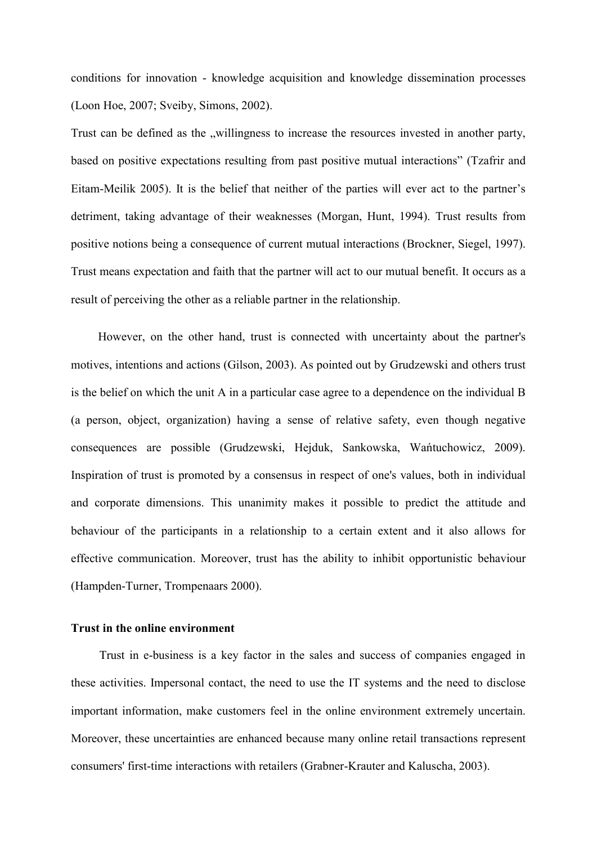conditions for innovation - knowledge acquisition and knowledge dissemination processes (Loon Hoe, 2007; Sveiby, Simons, 2002).

Trust can be defined as the "willingness to increase the resources invested in another party, based on positive expectations resulting from past positive mutual interactions" (Tzafrir and Eitam-Meilik 2005). It is the belief that neither of the parties will ever act to the partner's detriment, taking advantage of their weaknesses (Morgan, Hunt, 1994). Trust results from positive notions being a consequence of current mutual interactions (Brockner, Siegel, 1997). Trust means expectation and faith that the partner will act to our mutual benefit. It occurs as a result of perceiving the other as a reliable partner in the relationship.

However, on the other hand, trust is connected with uncertainty about the partner's motives, intentions and actions (Gilson, 2003). As pointed out by Grudzewski and others trust is the belief on which the unit A in a particular case agree to a dependence on the individual B (a person, object, organization) having a sense of relative safety, even though negative consequences are possible (Grudzewski, Hejduk, Sankowska, Wańtuchowicz, 2009). Inspiration of trust is promoted by a consensus in respect of one's values, both in individual and corporate dimensions. This unanimity makes it possible to predict the attitude and behaviour of the participants in a relationship to a certain extent and it also allows for effective communication. Moreover, trust has the ability to inhibit opportunistic behaviour (Hampden-Turner, Trompenaars 2000).

#### **Trust in the online environment**

Trust in e-business is a key factor in the sales and success of companies engaged in these activities. Impersonal contact, the need to use the IT systems and the need to disclose important information, make customers feel in the online environment extremely uncertain. Moreover, these uncertainties are enhanced because many online retail transactions represent consumers' first-time interactions with retailers (Grabner-Krauter and Kaluscha, 2003).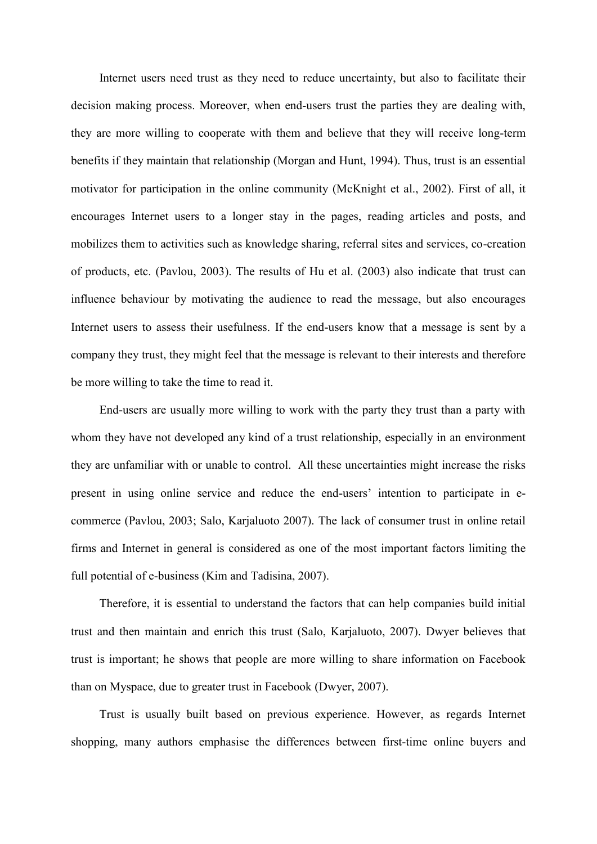Internet users need trust as they need to reduce uncertainty, but also to facilitate their decision making process. Moreover, when end-users trust the parties they are dealing with, they are more willing to cooperate with them and believe that they will receive long-term benefits if they maintain that relationship (Morgan and Hunt, 1994). Thus, trust is an essential motivator for participation in the online community (McKnight et al., 2002). First of all, it encourages Internet users to a longer stay in the pages, reading articles and posts, and mobilizes them to activities such as knowledge sharing, referral sites and services, co-creation of products, etc. (Pavlou, 2003). The results of Hu et al. (2003) also indicate that trust can influence behaviour by motivating the audience to read the message, but also encourages Internet users to assess their usefulness. If the end-users know that a message is sent by a company they trust, they might feel that the message is relevant to their interests and therefore be more willing to take the time to read it.

End-users are usually more willing to work with the party they trust than a party with whom they have not developed any kind of a trust relationship, especially in an environment they are unfamiliar with or unable to control. All these uncertainties might increase the risks present in using online service and reduce the end-users' intention to participate in ecommerce (Pavlou, 2003; Salo, Karjaluoto 2007). The lack of consumer trust in online retail firms and Internet in general is considered as one of the most important factors limiting the full potential of e-business (Kim and Tadisina, 2007).

Therefore, it is essential to understand the factors that can help companies build initial trust and then maintain and enrich this trust (Salo, Karjaluoto, 2007). Dwyer believes that trust is important; he shows that people are more willing to share information on Facebook than on Myspace, due to greater trust in Facebook (Dwyer, 2007).

Trust is usually built based on previous experience. However, as regards Internet shopping, many authors emphasise the differences between first-time online buyers and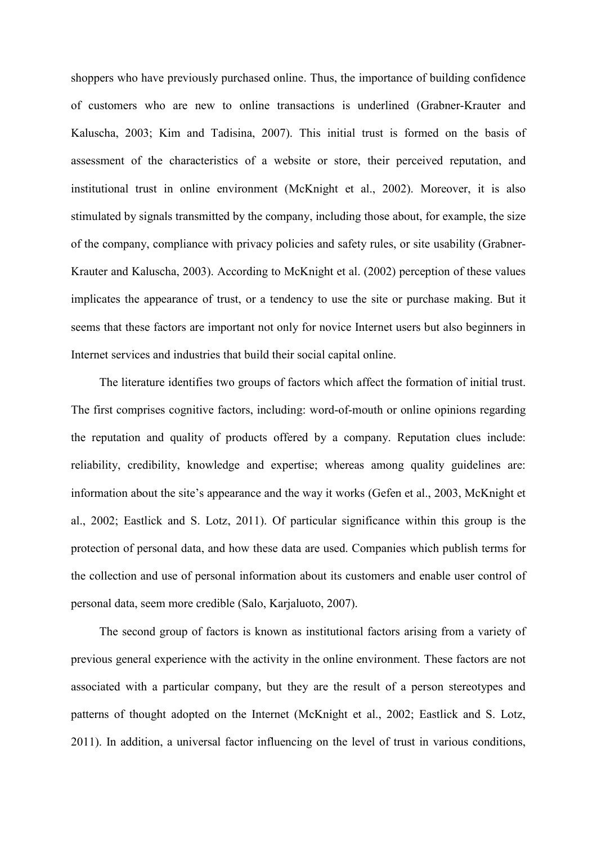shoppers who have previously purchased online. Thus, the importance of building confidence of customers who are new to online transactions is underlined (Grabner-Krauter and Kaluscha, 2003; Kim and Tadisina, 2007). This initial trust is formed on the basis of assessment of the characteristics of a website or store, their perceived reputation, and institutional trust in online environment (McKnight et al., 2002). Moreover, it is also stimulated by signals transmitted by the company, including those about, for example, the size of the company, compliance with privacy policies and safety rules, or site usability (Grabner-Krauter and Kaluscha, 2003). According to McKnight et al. (2002) perception of these values implicates the appearance of trust, or a tendency to use the site or purchase making. But it seems that these factors are important not only for novice Internet users but also beginners in Internet services and industries that build their social capital online.

The literature identifies two groups of factors which affect the formation of initial trust. The first comprises cognitive factors, including: word-of-mouth or online opinions regarding the reputation and quality of products offered by a company. Reputation clues include: reliability, credibility, knowledge and expertise; whereas among quality guidelines are: information about the site's appearance and the way it works (Gefen et al., 2003, McKnight et al., 2002; Eastlick and S. Lotz, 2011). Of particular significance within this group is the protection of personal data, and how these data are used. Companies which publish terms for the collection and use of personal information about its customers and enable user control of personal data, seem more credible (Salo, Karjaluoto, 2007).

The second group of factors is known as institutional factors arising from a variety of previous general experience with the activity in the online environment. These factors are not associated with a particular company, but they are the result of a person stereotypes and patterns of thought adopted on the Internet (McKnight et al., 2002; Eastlick and S. Lotz, 2011). In addition, a universal factor influencing on the level of trust in various conditions,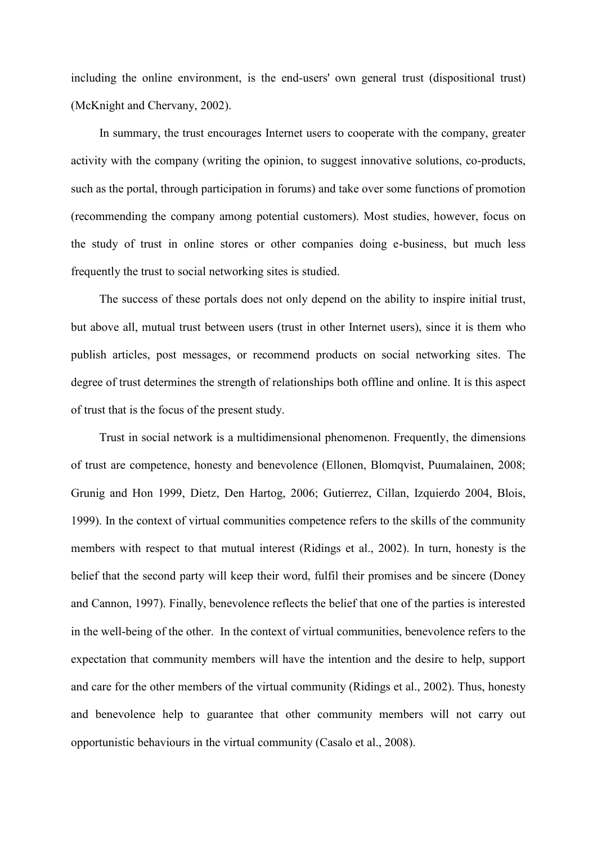including the online environment, is the end-users' own general trust (dispositional trust) (McKnight and Chervany, 2002).

In summary, the trust encourages Internet users to cooperate with the company, greater activity with the company (writing the opinion, to suggest innovative solutions, co-products, such as the portal, through participation in forums) and take over some functions of promotion (recommending the company among potential customers). Most studies, however, focus on the study of trust in online stores or other companies doing e-business, but much less frequently the trust to social networking sites is studied.

The success of these portals does not only depend on the ability to inspire initial trust, but above all, mutual trust between users (trust in other Internet users), since it is them who publish articles, post messages, or recommend products on social networking sites. The degree of trust determines the strength of relationships both offline and online. It is this aspect of trust that is the focus of the present study.

Trust in social network is a multidimensional phenomenon. Frequently, the dimensions of trust are competence, honesty and benevolence (Ellonen, Blomqvist, Puumalainen, 2008; Grunig and Hon 1999, Dietz, Den Hartog, 2006; Gutierrez, Cillan, Izquierdo 2004, Blois, 1999). In the context of virtual communities competence refers to the skills of the community members with respect to that mutual interest (Ridings et al., 2002). In turn, honesty is the belief that the second party will keep their word, fulfil their promises and be sincere (Doney and Cannon, 1997). Finally, benevolence reflects the belief that one of the parties is interested in the well-being of the other. In the context of virtual communities, benevolence refers to the expectation that community members will have the intention and the desire to help, support and care for the other members of the virtual community (Ridings et al., 2002). Thus, honesty and benevolence help to guarantee that other community members will not carry out opportunistic behaviours in the virtual community (Casalo et al., 2008).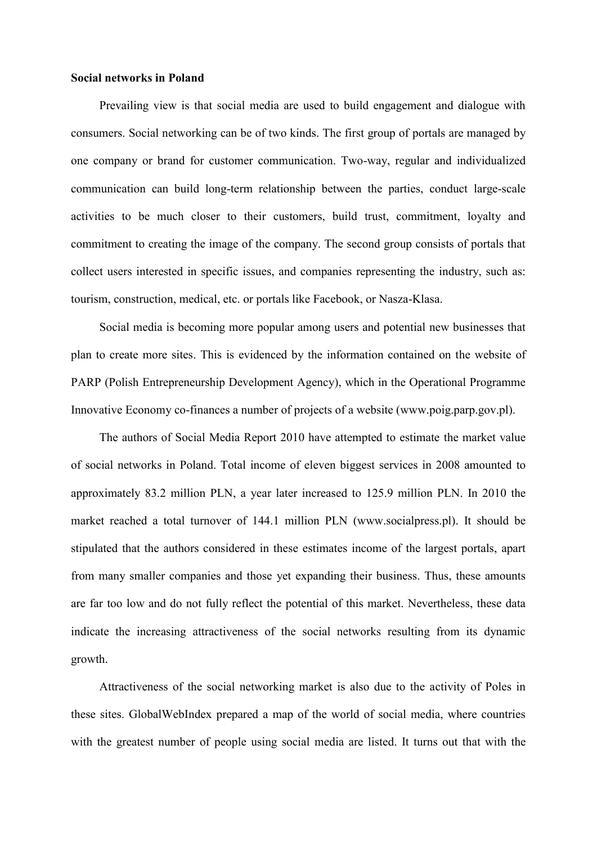#### **Social networks in Poland**

Prevailing view is that social media are used to build engagement and dialogue with consumers. Social networking can be of two kinds. The first group of portals are managed by one company or brand for customer communication. Two-way, regular and individualized communication can build long-term relationship between the parties, conduct large-scale activities to be much closer to their customers, build trust, commitment, loyalty and commitment to creating the image of the company. The second group consists of portals that collect users interested in specific issues, and companies representing the industry, such as: tourism, construction, medical, etc. or portals like Facebook, or Nasza-Klasa.

Social media is becoming more popular among users and potential new businesses that plan to create more sites. This is evidenced by the information contained on the website of PARP (Polish Entrepreneurship Development Agency), which in the Operational Programme Innovative Economy co-finances a number of projects of a website (www.poig.parp.gov.pl).

The authors of Social Media Report 2010 have attempted to estimate the market value of social networks in Poland. Total income of eleven biggest services in 2008 amounted to approximately 83.2 million PLN, a year later increased to 125.9 million PLN. In 2010 the market reached a total turnover of 144.1 million PLN (www.socialpress.pl). It should be stipulated that the authors considered in these estimates income of the largest portals, apart from many smaller companies and those yet expanding their business. Thus, these amounts are far too low and do not fully reflect the potential of this market. Nevertheless, these data indicate the increasing attractiveness of the social networks resulting from its dynamic growth.

Attractiveness of the social networking market is also due to the activity of Poles in these sites. [GlobalWebIndex](http://translate.google.com/translate?hl=pl&prev=_t&sl=pl&tl=en&u=http://globalwebindex.net/annual-report-2011/) prepared a map of the world of social media, where countries with the greatest number of people using social media are listed. It turns out that with the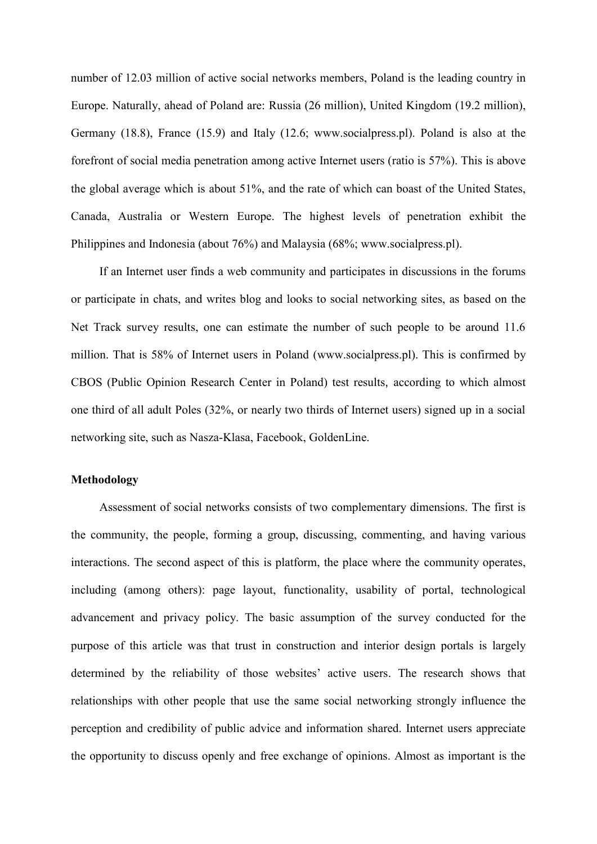number of 12.03 million of active social networks members, Poland is the leading country in Europe. Naturally, ahead of Poland are: Russia (26 million), United Kingdom (19.2 million), Germany (18.8), France (15.9) and Italy (12.6; www.socialpress.pl). Poland is also at the forefront of social media penetration among active Internet users (ratio is 57%). This is above the global average which is about 51%, and the rate of which can boast of the United States, Canada, Australia or Western Europe. The highest levels of penetration exhibit the Philippines and Indonesia (about 76%) and Malaysia (68%; www.socialpress.pl).

If an Internet user finds a web community and participates in discussions in the forums or participate in chats, and writes blog and looks to social networking sites, as based on the Net Track survey results, one can estimate the number of such people to be around 11.6 million. That is 58% of Internet users in Poland (www.socialpress.pl). This is confirmed by CBOS (Public Opinion Research Center in Poland) test results, according to which almost one third of all adult Poles (32%, or nearly two thirds of Internet users) signed up in a social networking site, such as Nasza-Klasa, Facebook, GoldenLine.

## **Methodology**

Assessment of social networks consists of two complementary dimensions. The first is the community, the people, forming a group, discussing, commenting, and having various interactions. The second aspect of this is platform, the place where the community operates, including (among others): page layout, functionality, usability of portal, technological advancement and privacy policy. The basic assumption of the survey conducted for the purpose of this article was that trust in construction and interior design portals is largely determined by the reliability of those websites' active users. The research shows that relationships with other people that use the same social networking strongly influence the perception and credibility of public advice and information shared. Internet users appreciate the opportunity to discuss openly and free exchange of opinions. Almost as important is the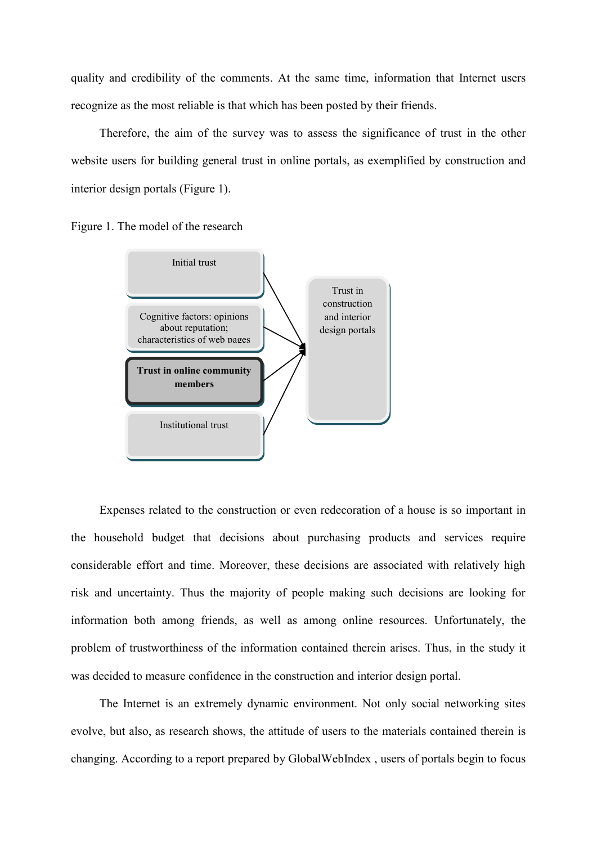quality and credibility of the comments. At the same time, information that Internet users recognize as the most reliable is that which has been posted by their friends.

Therefore, the aim of the survey was to assess the significance of trust in the other website users for building general trust in online portals, as exemplified by construction and interior design portals (Figure 1).

Figure 1. The model of the research



Expenses related to the construction or even redecoration of a house is so important in the household budget that decisions about purchasing products and services require considerable effort and time. Moreover, these decisions are associated with relatively high risk and uncertainty. Thus the majority of people making such decisions are looking for information both among friends, as well as among online resources. Unfortunately, the problem of trustworthiness of the information contained therein arises. Thus, in the study it was decided to measure confidence in the construction and interior design portal.

The Internet is an extremely dynamic environment. Not only social networking sites evolve, but also, as research shows, the attitude of users to the materials contained therein is changing. According to a report prepared by [GlobalWebIndex](http://translate.google.com/translate?hl=pl&prev=_t&sl=pl&tl=en&u=http://globalwebindex.net/annual-report-2011/) , users of portals begin to focus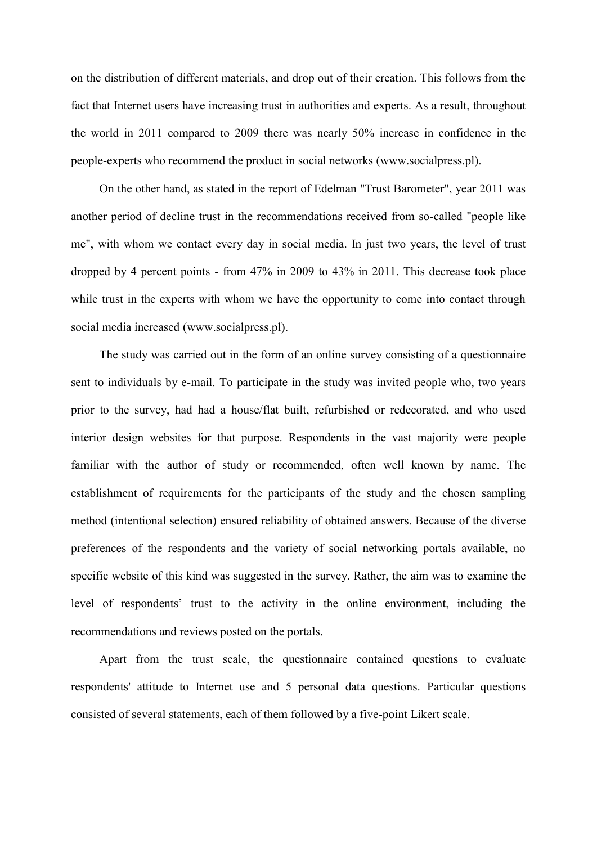on the distribution of different materials, and drop out of their creation. This follows from the fact that Internet users have increasing trust in authorities and experts. As a result, throughout the world in 2011 compared to 2009 there was nearly 50% increase in confidence in the people-experts who recommend the product in social networks (www.socialpress.pl).

On the other hand, as stated in the report of Edelman "Trust Barometer", year 2011 was another period of decline trust in the recommendations received from so-called "people like me", with whom we contact every day in social media. In just two years, the level of trust dropped by 4 percent points - from 47% in 2009 to 43% in 2011. This decrease took place while trust in the experts with whom we have the opportunity to come into contact through social media increased (www.socialpress.pl).

The study was carried out in the form of an online survey consisting of a questionnaire sent to individuals by e-mail. To participate in the study was invited people who, two years prior to the survey, had had a house/flat built, refurbished or redecorated, and who used interior design websites for that purpose. Respondents in the vast majority were people familiar with the author of study or recommended, often well known by name. The establishment of requirements for the participants of the study and the chosen sampling method (intentional selection) ensured reliability of obtained answers. Because of the diverse preferences of the respondents and the variety of social networking portals available, no specific website of this kind was suggested in the survey. Rather, the aim was to examine the level of respondents' trust to the activity in the online environment, including the recommendations and reviews posted on the portals.

Apart from the trust scale, the questionnaire contained questions to evaluate respondents' attitude to Internet use and 5 personal data questions. Particular questions consisted of several statements, each of them followed by a five-point Likert scale.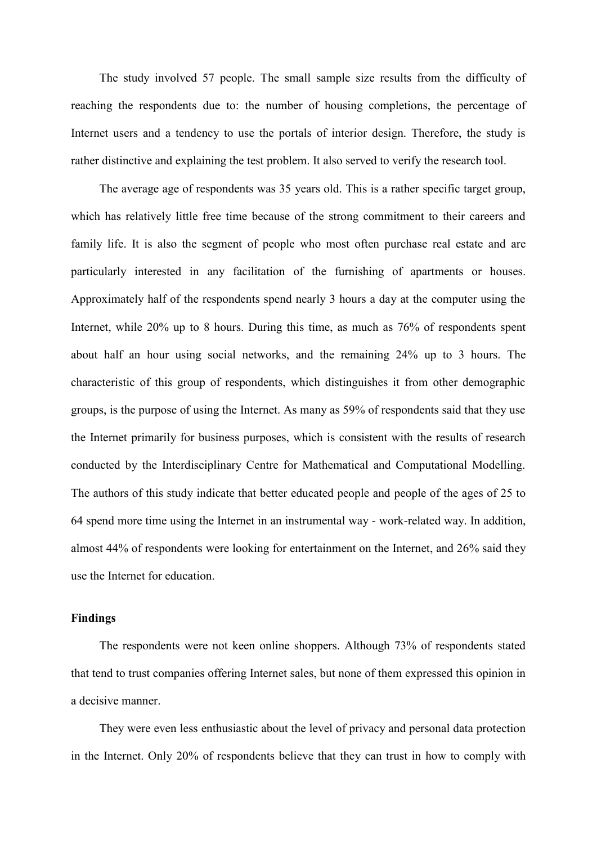The study involved 57 people. The small sample size results from the difficulty of reaching the respondents due to: the number of housing completions, the percentage of Internet users and a tendency to use the portals of interior design. Therefore, the study is rather distinctive and explaining the test problem. It also served to verify the research tool.

The average age of respondents was 35 years old. This is a rather specific target group, which has relatively little free time because of the strong commitment to their careers and family life. It is also the segment of people who most often purchase real estate and are particularly interested in any facilitation of the furnishing of apartments or houses. Approximately half of the respondents spend nearly 3 hours a day at the computer using the Internet, while 20% up to 8 hours. During this time, as much as 76% of respondents spent about half an hour using social networks, and the remaining 24% up to 3 hours. The characteristic of this group of respondents, which distinguishes it from other demographic groups, is the purpose of using the Internet. As many as 59% of respondents said that they use the Internet primarily for business purposes, which is consistent with the results of research conducted by the Interdisciplinary Centre for Mathematical and Computational Modelling. The authors of this study indicate that better educated people and people of the ages of 25 to 64 spend more time using the Internet in an instrumental way - work-related way. In addition, almost 44% of respondents were looking for entertainment on the Internet, and 26% said they use the Internet for education.

#### **Findings**

The respondents were not keen online shoppers. Although 73% of respondents stated that tend to trust companies offering Internet sales, but none of them expressed this opinion in a decisive manner.

They were even less enthusiastic about the level of privacy and personal data protection in the Internet. Only 20% of respondents believe that they can trust in how to comply with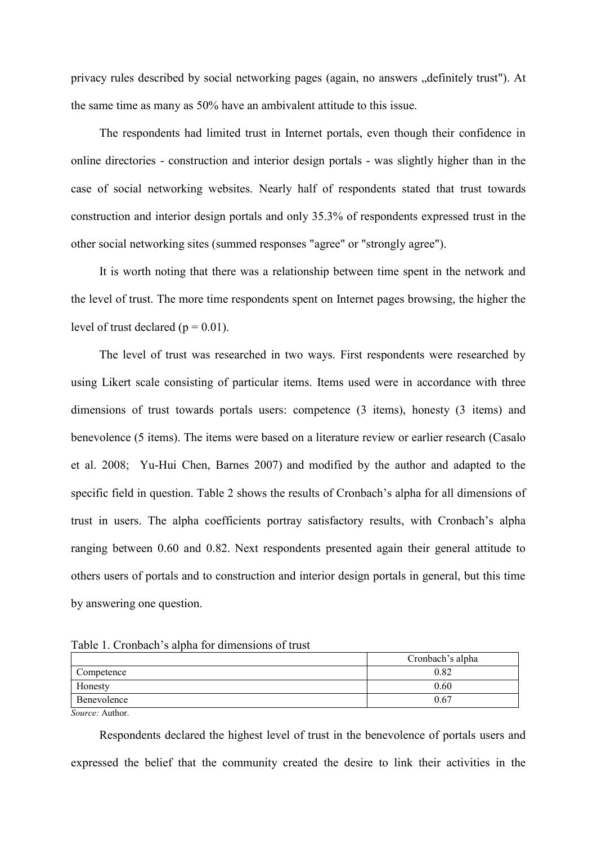privacy rules described by social networking pages (again, no answers "definitely trust"). At the same time as many as 50% have an ambivalent attitude to this issue.

The respondents had limited trust in Internet portals, even though their confidence in online directories - construction and interior design portals - was slightly higher than in the case of social networking websites. Nearly half of respondents stated that trust towards construction and interior design portals and only 35.3% of respondents expressed trust in the other social networking sites (summed responses "agree" or "strongly agree").

It is worth noting that there was a relationship between time spent in the network and the level of trust. The more time respondents spent on Internet pages browsing, the higher the level of trust declared ( $p = 0.01$ ).

The level of trust was researched in two ways. First respondents were researched by using Likert scale consisting of particular items. Items used were in accordance with three dimensions of trust towards portals users: competence (3 items), honesty (3 items) and benevolence (5 items). The items were based on a literature review or earlier research (Casalo et al. 2008; Yu-Hui Chen, Barnes 2007) and modified by the author and adapted to the specific field in question. Table 2 shows the results of Cronbach's alpha for all dimensions of trust in users. The alpha coefficients portray satisfactory results, with Cronbach's alpha ranging between 0.60 and 0.82. Next respondents presented again their general attitude to others users of portals and to construction and interior design portals in general, but this time by answering one question.

Table 1. Cronbach's alpha for dimensions of trust

|             | Cronbach's alpha |
|-------------|------------------|
| Competence  | 0.82             |
| Honesty     | 0.60             |
| Benevolence | 0.67             |

*Source:* Author.

Respondents declared the highest level of trust in the benevolence of portals users and expressed the belief that the community created the desire to link their activities in the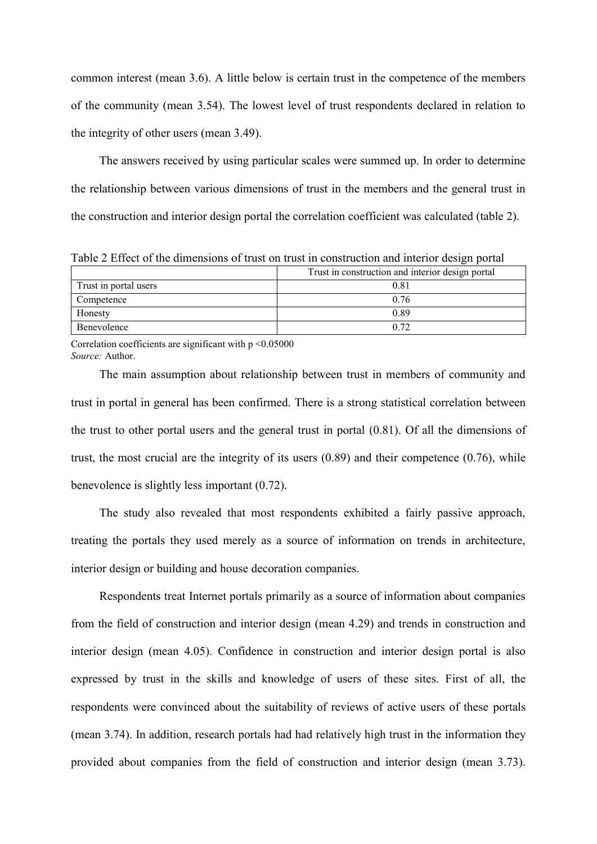common interest (mean 3.6). A little below is certain trust in the competence of the members of the community (mean 3.54). The lowest level of trust respondents declared in relation to the integrity of other users (mean 3.49).

The answers received by using particular scales were summed up. In order to determine the relationship between various dimensions of trust in the members and the general trust in the construction and interior design portal the correlation coefficient was calculated (table 2).

Table 2 Effect of the dimensions of trust on trust in construction and interior design portal

|                       | Trust in construction and interior design portal |  |
|-----------------------|--------------------------------------------------|--|
| Trust in portal users | 0.81                                             |  |
| Competence            | 0.76                                             |  |
| Honesty               | 0.89                                             |  |
| Benevolence           | 0.72                                             |  |

Correlation coefficients are significant with  $p \le 0.05000$ *Source:* Author.

The main assumption about relationship between trust in members of community and trust in portal in general has been confirmed. There is a strong statistical correlation between the trust to other portal users and the general trust in portal (0.81). Of all the dimensions of trust, the most crucial are the integrity of its users  $(0.89)$  and their competence  $(0.76)$ , while benevolence is slightly less important (0.72).

The study also revealed that most respondents exhibited a fairly passive approach, treating the portals they used merely as a source of information on trends in architecture, interior design or building and house decoration companies.

Respondents treat Internet portals primarily as a source of information about companies from the field of construction and interior design (mean 4.29) and trends in construction and interior design (mean 4.05). Confidence in construction and interior design portal is also expressed by trust in the skills and knowledge of users of these sites. First of all, the respondents were convinced about the suitability of reviews of active users of these portals (mean 3.74). In addition, research portals had had relatively high trust in the information they provided about companies from the field of construction and interior design (mean 3.73).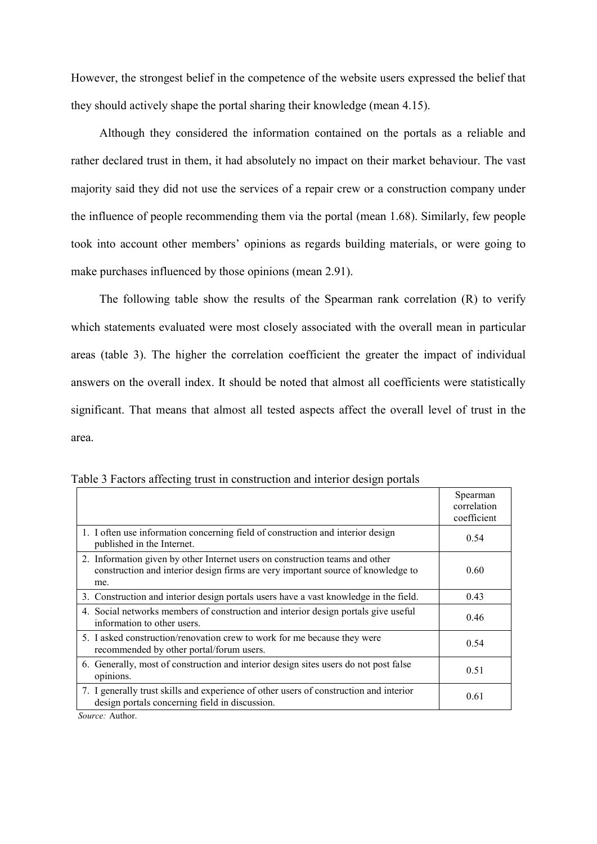However, the strongest belief in the competence of the website users expressed the belief that they should actively shape the portal sharing their knowledge (mean 4.15).

Although they considered the information contained on the portals as a reliable and rather declared trust in them, it had absolutely no impact on their market behaviour. The vast majority said they did not use the services of a repair crew or a construction company under the influence of people recommending them via the portal (mean 1.68). Similarly, few people took into account other members' opinions as regards building materials, or were going to make purchases influenced by those opinions (mean 2.91).

The following table show the results of the Spearman rank correlation (R) to verify which statements evaluated were most closely associated with the overall mean in particular areas (table 3). The higher the correlation coefficient the greater the impact of individual answers on the overall index. It should be noted that almost all coefficients were statistically significant. That means that almost all tested aspects affect the overall level of trust in the area.

|                                                                                                                                                                         | Spearman<br>correlation<br>coefficient |
|-------------------------------------------------------------------------------------------------------------------------------------------------------------------------|----------------------------------------|
| 1. I often use information concerning field of construction and interior design<br>published in the Internet.                                                           | 0.54                                   |
| 2. Information given by other Internet users on construction teams and other<br>construction and interior design firms are very important source of knowledge to<br>me. | 0.60                                   |
| 3. Construction and interior design portals users have a vast knowledge in the field.                                                                                   | 0.43                                   |
| 4. Social networks members of construction and interior design portals give useful<br>information to other users.                                                       | 0.46                                   |
| 5. I asked construction/renovation crew to work for me because they were<br>recommended by other portal/forum users.                                                    | 0.54                                   |
| 6. Generally, most of construction and interior design sites users do not post false<br>opinions.                                                                       | 0.51                                   |
| 7. I generally trust skills and experience of other users of construction and interior<br>design portals concerning field in discussion.                                | 0.61                                   |

Table 3 Factors affecting trust in construction and interior design portals

*Source:* Author.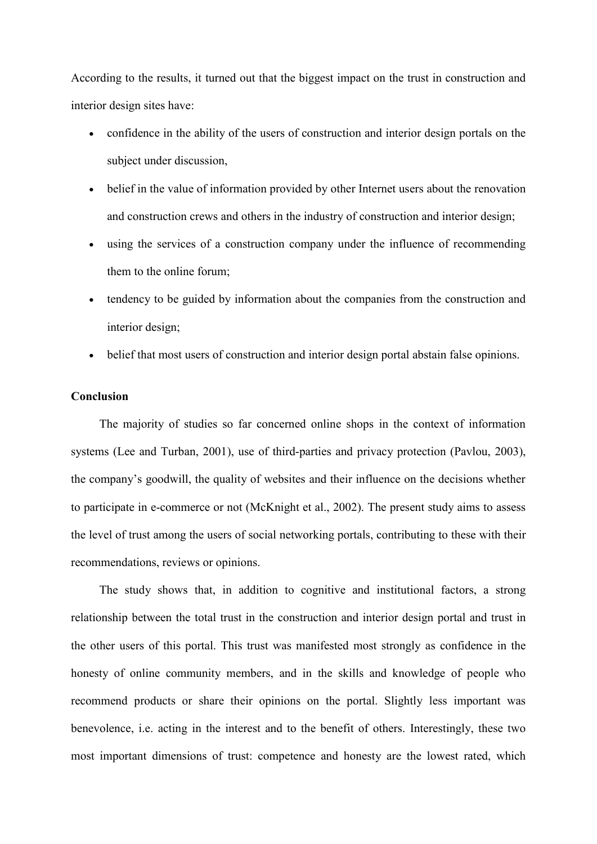According to the results, it turned out that the biggest impact on the trust in construction and interior design sites have:

- confidence in the ability of the users of construction and interior design portals on the subject under discussion,
- belief in the value of information provided by other Internet users about the renovation and construction crews and others in the industry of construction and interior design;
- using the services of a construction company under the influence of recommending them to the online forum;
- tendency to be guided by information about the companies from the construction and interior design;
- belief that most users of construction and interior design portal abstain false opinions.

### **Conclusion**

The majority of studies so far concerned online shops in the context of information systems (Lee and Turban, 2001), use of third-parties and privacy protection (Pavlou, 2003), the company's goodwill, the quality of websites and their influence on the decisions whether to participate in e-commerce or not (McKnight et al., 2002). The present study aims to assess the level of trust among the users of social networking portals, contributing to these with their recommendations, reviews or opinions.

The study shows that, in addition to cognitive and institutional factors, a strong relationship between the total trust in the construction and interior design portal and trust in the other users of this portal. This trust was manifested most strongly as confidence in the honesty of online community members, and in the skills and knowledge of people who recommend products or share their opinions on the portal. Slightly less important was benevolence, i.e. acting in the interest and to the benefit of others. Interestingly, these two most important dimensions of trust: competence and honesty are the lowest rated, which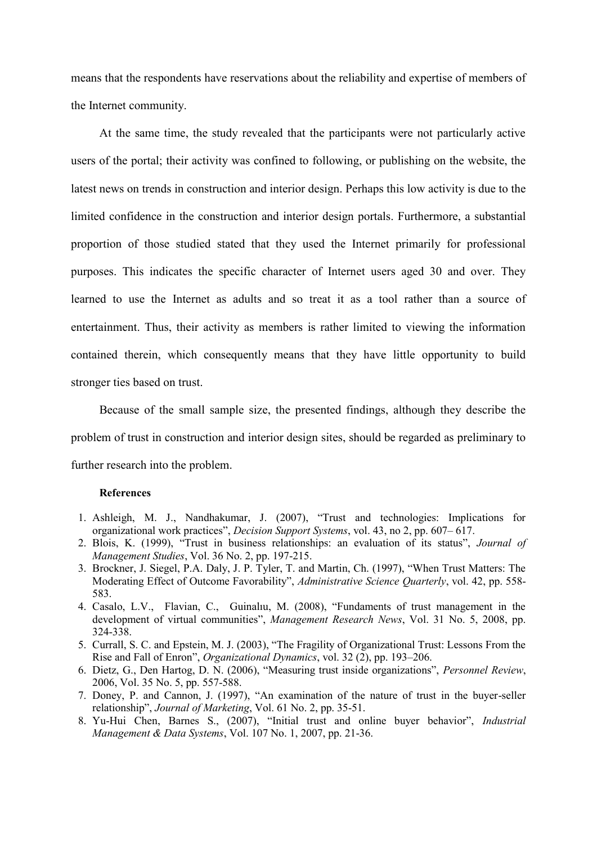means that the respondents have reservations about the reliability and expertise of members of the Internet community.

At the same time, the study revealed that the participants were not particularly active users of the portal; their activity was confined to following, or publishing on the website, the latest news on trends in construction and interior design. Perhaps this low activity is due to the limited confidence in the construction and interior design portals. Furthermore, a substantial proportion of those studied stated that they used the Internet primarily for professional purposes. This indicates the specific character of Internet users aged 30 and over. They learned to use the Internet as adults and so treat it as a tool rather than a source of entertainment. Thus, their activity as members is rather limited to viewing the information contained therein, which consequently means that they have little opportunity to build stronger ties based on trust.

Because of the small sample size, the presented findings, although they describe the problem of trust in construction and interior design sites, should be regarded as preliminary to further research into the problem.

#### **References**

- 1. Ashleigh, M. J., Nandhakumar, J. (2007), "Trust and technologies: Implications for organizational work practices", *Decision Support Systems*, vol. 43, no 2, pp. 607– 617.
- 2. Blois, K. (1999), "Trust in business relationships: an evaluation of its status", *Journal of Management Studies*, Vol. 36 No. 2, pp. 197-215.
- 3. Brockner, J. Siegel, P.A. Daly, J. P. Tyler, T. and Martin, Ch. (1997), "When Trust Matters: The Moderating Effect of Outcome Favorability", *Administrative Science Quarterly*, vol. 42, pp. 558- 583.
- 4. Casalo, L.V., Flavian, C., Guinalıu, M. (2008), "Fundaments of trust management in the development of virtual communities", *Management Research News*, Vol. 31 No. 5, 2008, pp. 324-338.
- 5. Currall, S. C. and Epstein, M. J. (2003), "The Fragility of Organizational Trust: Lessons From the Rise and Fall of Enron", *Organizational Dynamics*, vol. 32 (2), pp. 193–206.
- 6. Dietz, G., Den Hartog, D. N. (2006), "Measuring trust inside organizations", *Personnel Review*, 2006, Vol. 35 No. 5, pp. 557-588.
- 7. Doney, P. and Cannon, J. (1997), "An examination of the nature of trust in the buyer-seller relationship", *Journal of Marketing*, Vol. 61 No. 2, pp. 35-51.
- 8. Yu-Hui Chen, Barnes S., (2007), "Initial trust and online buyer behavior", *Industrial Management & Data Systems*, Vol. 107 No. 1, 2007, pp. 21-36.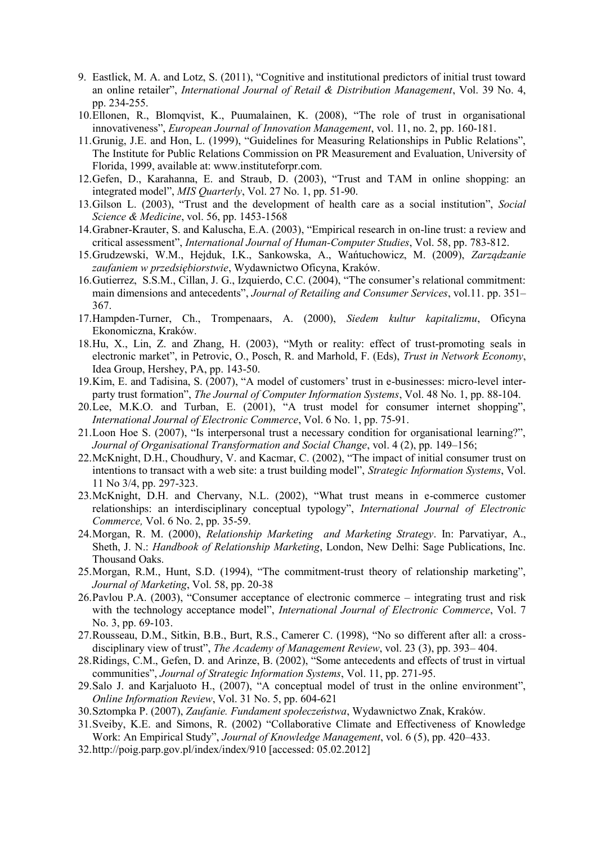- 9. Eastlick, M. A. and Lotz, S. (2011), "Cognitive and institutional predictors of initial trust toward an online retailer", *International Journal of Retail & Distribution Management*, Vol. 39 No. 4, pp. 234-255.
- 10.Ellonen, R., Blomqvist, K., Puumalainen, K. (2008), "The role of trust in organisational innovativeness", *European Journal of Innovation Management*, vol. 11, no. 2, pp. 160-181.
- 11.Grunig, J.E. and Hon, L. (1999), "Guidelines for Measuring Relationships in Public Relations", The Institute for Public Relations Commission on PR Measurement and Evaluation, University of Florida, 1999, available at: www.instituteforpr.com.
- 12.Gefen, D., Karahanna, E. and Straub, D. (2003), "Trust and TAM in online shopping: an integrated model", *MIS Quarterly*, Vol. 27 No. 1, pp. 51-90.
- 13.Gilson L. (2003), "Trust and the development of health care as a social institution", *Social Science & Medicine*, vol. 56, pp. 1453-1568
- 14.Grabner-Krauter, S. and Kaluscha, E.A. (2003), "Empirical research in on-line trust: a review and critical assessment", *International Journal of Human-Computer Studies*, Vol. 58, pp. 783-812.
- 15.Grudzewski, W.M., Hejduk, I.K., Sankowska, A., Wańtuchowicz, M. (2009), *Zarządzanie zaufaniem w przedsiębiorstwie*, Wydawnictwo Oficyna, Kraków.
- 16.Gutierrez, S.S.M., Cillan, J. G., Izquierdo, C.C. (2004), "The consumer's relational commitment: main dimensions and antecedents", *Journal of Retailing and Consumer Services*, vol.11. pp. 351– 367.
- 17.Hampden-Turner, Ch., Trompenaars, A. (2000), *Siedem kultur kapitalizmu*, Oficyna Ekonomiczna, Kraków.
- 18.Hu, X., Lin, Z. and Zhang, H. (2003), "Myth or reality: effect of trust-promoting seals in electronic market", in Petrovic, O., Posch, R. and Marhold, F. (Eds), *Trust in Network Economy*, Idea Group, Hershey, PA, pp. 143-50.
- 19.Kim, E. and Tadisina, S. (2007), "A model of customers' trust in e-businesses: micro-level interparty trust formation", *The Journal of Computer Information Systems*, Vol. 48 No. 1, pp. 88-104.
- 20.Lee, M.K.O. and Turban, E. (2001), "A trust model for consumer internet shopping", *International Journal of Electronic Commerce*, Vol. 6 No. 1, pp. 75-91.
- 21.Loon Hoe S. (2007), "Is interpersonal trust a necessary condition for organisational learning?", *Journal of Organisational Transformation and Social Change*, vol. 4 (2), pp. 149–156;
- 22.McKnight, D.H., Choudhury, V. and Kacmar, C. (2002), "The impact of initial consumer trust on intentions to transact with a web site: a trust building model", *Strategic Information Systems*, Vol. 11 No 3/4, pp. 297-323.
- 23.McKnight, D.H. and Chervany, N.L. (2002), "What trust means in e-commerce customer relationships: an interdisciplinary conceptual typology", *International Journal of Electronic Commerce,* Vol. 6 No. 2, pp. 35-59.
- 24.Morgan, R. M. (2000), *Relationship Marketing and Marketing Strategy*. In: Parvatiyar, A., Sheth, J. N.: *Handbook of Relationship Marketing*, London, New Delhi: Sage Publications, Inc. Thousand Oaks.
- 25.Morgan, R.M., Hunt, S.D. (1994), "The commitment-trust theory of relationship marketing", *Journal of Marketing*, Vol. 58, pp. 20-38
- 26.Pavlou P.A. (2003), "Consumer acceptance of electronic commerce integrating trust and risk with the technology acceptance model", *International Journal of Electronic Commerce*, Vol. 7 No. 3, pp. 69-103.
- 27.Rousseau, D.M., Sitkin, B.B., Burt, R.S., Camerer C. (1998), "No so different after all: a crossdisciplinary view of trust", *The Academy of Management Review*, vol. 23 (3), pp. 393– 404.
- 28.Ridings, C.M., Gefen, D. and Arinze, B. (2002), "Some antecedents and effects of trust in virtual communities", *Journal of Strategic Information Systems*, Vol. 11, pp. 271-95.
- 29.Salo J. and Karjaluoto H., (2007), "A conceptual model of trust in the online environment", *Online Information Review*, Vol. 31 No. 5, pp. 604-621
- 30.Sztompka P. (2007), *Zaufanie. Fundament społeczeństwa*, Wydawnictwo Znak, Kraków.
- 31.Sveiby, K.E. and Simons, R. (2002) "Collaborative Climate and Effectiveness of Knowledge Work: An Empirical Study", *Journal of Knowledge Management*, vol. 6 (5), pp. 420–433.
- 32.http://poig.parp.gov.pl/index/index/910 [accessed: 05.02.2012]